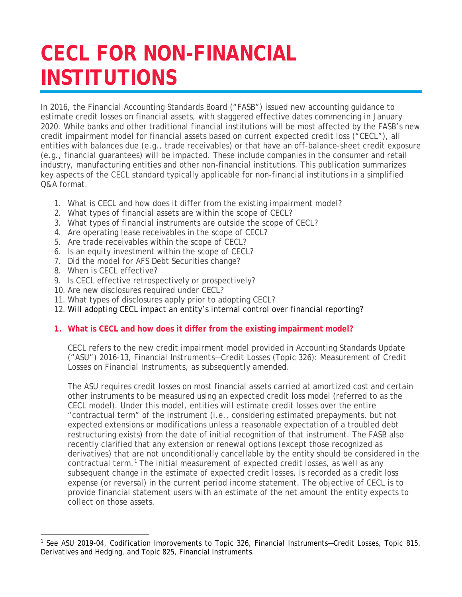# **CECL FOR NON-FINANCIAL INSTITUTIONS**

In 2016, the Financial Accounting Standards Board ("FASB") issued new accounting guidance to estimate credit losses on financial assets, with staggered effective dates commencing in January 2020. While banks and other traditional financial institutions will be most affected by the FASB's new credit impairment model for financial assets based on current expected credit loss ("CECL"), all entities with balances due (e.g., trade receivables) or that have an off-balance-sheet credit exposure (e.g., financial guarantees) will be impacted. These include companies in the consumer and retail industry, manufacturing entities and other non-financial institutions. This publication summarizes key aspects of the CECL standard typically applicable for non-financial institutions in a simplified Q&A format.

- 1. What is CECL and how does it differ from the existing impairment model?
- 2. What types of financial assets are within the scope of CECL?
- 3. What types of financial instruments are outside the scope of CECL?
- 4. Are operating lease receivables in the scope of CECL?
- 5. Are trade receivables within the scope of CECL?
- 6. Is an equity investment within the scope of CECL?
- 7. Did the model for AFS Debt Securities change?
- 8. When is CECL effective?
- 9. Is CECL effective retrospectively or prospectively?
- 10. Are new disclosures required under CECL?
- 11. What types of disclosures apply prior to adopting CECL?
- 12. Will adopting CECL impact an entity's internal control over financial reporting?

# **1. What is CECL and how does it differ from the existing impairment model?**

CECL refers to the new credit impairment model provided in Accounting Standards Update ("ASU") 2016-13, *Financial Instruments—Credit Losses (Topic 326): Measurement of Credit Losses on Financial Instruments, as subsequently amended*.

The ASU requires credit losses on most financial assets carried at amortized cost and certain other instruments to be measured using an expected credit loss model (referred to as the CECL model). Under this model, entities will estimate credit losses over the entire "contractual term" of the instrument (i.e., considering estimated prepayments, but not expected extensions or modifications unless a reasonable expectation of a troubled debt restructuring exists) from the date of initial recognition of that instrument. The FASB also recently clarified that any extension or renewal options (except those recognized as derivatives) that are not unconditionally cancellable by the entity should be considered in the contractual term.<sup>[1](#page-0-0)</sup> The initial measurement of expected credit losses, as well as any subsequent change in the estimate of expected credit losses, is recorded as a credit loss expense (or reversal) in the current period income statement. The objective of CECL is to provide financial statement users with an estimate of the net amount the entity expects to collect on those assets.

<span id="page-0-0"></span> $\overline{a}$ <sup>1</sup> See ASU 2019-04, Codification Improvements to Topic 326, Financial Instruments—Credit Losses, Topic 815, Derivatives and Hedging, and Topic 825, Financial Instruments.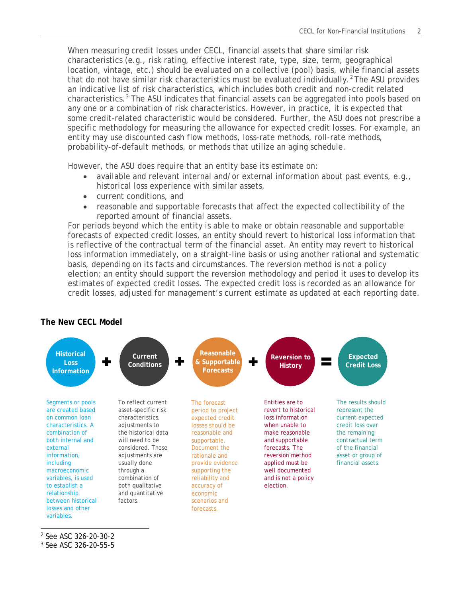When measuring credit losses under CECL, financial assets that share similar risk characteristics (e.g., risk rating, effective interest rate, type, size, term, geographical location, vintage, etc.) should be evaluated on a collective (pool) basis, while financial assets that do not have similar risk characteristics must be evaluated individually.<sup>[2](#page-1-0)</sup> The ASU provides an indicative list of risk characteristics, which includes both credit and non-credit related characteristics. $3$  The ASU indicates that financial assets can be aggregated into pools based on any one or a combination of risk characteristics. However, in practice, it is expected that some credit-related characteristic would be considered. Further, the ASU does not prescribe a specific methodology for measuring the allowance for expected credit losses. For example, an entity may use discounted cash flow methods, loss-rate methods, roll-rate methods, probability-of-default methods, or methods that utilize an aging schedule.

However, the ASU does require that an entity base its estimate on:

- available and relevant internal and/or external information about past events, e.g., historical loss experience with similar assets,
- current conditions, and
- reasonable and supportable forecasts that affect the expected collectibility of the reported amount of financial assets.

For periods beyond which the entity is able to make or obtain reasonable and supportable forecasts of expected credit losses, an entity should revert to historical loss information that is reflective of the contractual term of the financial asset. An entity may revert to historical loss information immediately, on a straight-line basis or using another rational and systematic basis, depending on its facts and circumstances. The reversion method is not a policy election; an entity should support the reversion methodology and period it uses to develop its estimates of expected credit losses. The expected credit loss is recorded as an allowance for credit losses, adjusted for management's current estimate as updated at each reporting date.

# **The New CECL Model**



<span id="page-1-0"></span><sup>2</sup> See ASC 326-20-30-2

<span id="page-1-1"></span><sup>3</sup> See ASC 326-20-55-5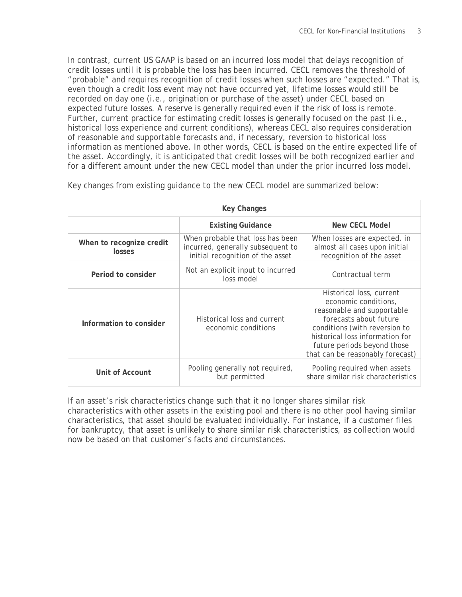In contrast, current US GAAP is based on an incurred loss model that delays recognition of credit losses until it is probable the loss has been incurred. CECL removes the threshold of "probable" and requires recognition of credit losses when such losses are "expected." That is, even though a credit loss event may not have occurred yet, lifetime losses would still be recorded on day one (i.e., origination or purchase of the asset) under CECL based on expected future losses. A reserve is generally required even if the risk of loss is remote. Further, current practice for estimating credit losses is generally focused on the past (i.e., historical loss experience and current conditions), whereas CECL also requires consideration of reasonable and supportable forecasts and, if necessary, reversion to historical loss information as mentioned above. In other words, CECL is based on the entire expected life of the asset. Accordingly, it is anticipated that credit losses will be both recognized earlier and for a different amount under the new CECL model than under the prior incurred loss model.

| Key Changes                                                         |                                                                                                           |                                                                                                                                                                                                                                                 |  |  |  |
|---------------------------------------------------------------------|-----------------------------------------------------------------------------------------------------------|-------------------------------------------------------------------------------------------------------------------------------------------------------------------------------------------------------------------------------------------------|--|--|--|
|                                                                     | New CECL Model                                                                                            |                                                                                                                                                                                                                                                 |  |  |  |
| When to recognize credit<br>losses                                  | When probable that loss has been<br>incurred, generally subsequent to<br>initial recognition of the asset | When losses are expected, in<br>almost all cases upon initial<br>recognition of the asset                                                                                                                                                       |  |  |  |
| Period to consider                                                  | Not an explicit input to incurred<br>loss model                                                           | Contractual term                                                                                                                                                                                                                                |  |  |  |
| Information to consider                                             | Historical loss and current<br>economic conditions                                                        | Historical loss, current<br>economic conditions,<br>reasonable and supportable<br>forecasts about future<br>conditions (with reversion to<br>historical loss information for<br>future periods beyond those<br>that can be reasonably forecast) |  |  |  |
| Pooling generally not required,<br>Unit of Account<br>but permitted |                                                                                                           | Pooling required when assets<br>share similar risk characteristics                                                                                                                                                                              |  |  |  |

Key changes from existing guidance to the new CECL model are summarized below:

If an asset's risk characteristics change such that it no longer shares similar risk characteristics with other assets in the existing pool and there is no other pool having similar characteristics, that asset should be evaluated individually. For instance, if a customer files for bankruptcy, that asset is unlikely to share similar risk characteristics, as collection would now be based on that customer's facts and circumstances.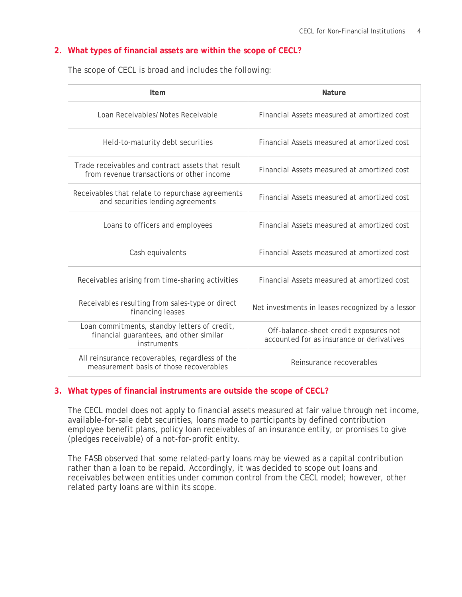## **2. What types of financial assets are within the scope of CECL?**

The scope of CECL is broad and includes the following:

| Item                                                                                                   | <b>Nature</b>                                                                       |  |  |
|--------------------------------------------------------------------------------------------------------|-------------------------------------------------------------------------------------|--|--|
| Loan Receivables/Notes Receivable                                                                      | Financial Assets measured at amortized cost                                         |  |  |
| Held-to-maturity debt securities                                                                       | Financial Assets measured at amortized cost                                         |  |  |
| Trade receivables and contract assets that result<br>from revenue transactions or other income         | Financial Assets measured at amortized cost                                         |  |  |
| Receivables that relate to repurchase agreements<br>and securities lending agreements                  | Financial Assets measured at amortized cost                                         |  |  |
| Loans to officers and employees                                                                        | Financial Assets measured at amortized cost                                         |  |  |
| Cash equivalents                                                                                       | Financial Assets measured at amortized cost                                         |  |  |
| Receivables arising from time-sharing activities                                                       | Financial Assets measured at amortized cost                                         |  |  |
| Receivables resulting from sales-type or direct<br>financing leases                                    | Net investments in leases recognized by a lessor                                    |  |  |
| Loan commitments, standby letters of credit,<br>financial guarantees, and other similar<br>instruments | Off-balance-sheet credit exposures not<br>accounted for as insurance or derivatives |  |  |
| All reinsurance recoverables, regardless of the<br>measurement basis of those recoverables             | Reinsurance recoverables                                                            |  |  |

#### **3. What types of financial instruments are outside the scope of CECL?**

The CECL model does not apply to financial assets measured at fair value through net income, available-for-sale debt securities, loans made to participants by defined contribution employee benefit plans, policy loan receivables of an insurance entity, or promises to give (pledges receivable) of a not-for-profit entity.

The FASB observed that some related-party loans may be viewed as a capital contribution rather than a loan to be repaid. Accordingly, it was decided to scope out loans and receivables between entities under common control from the CECL model; however, other related party loans are within its scope.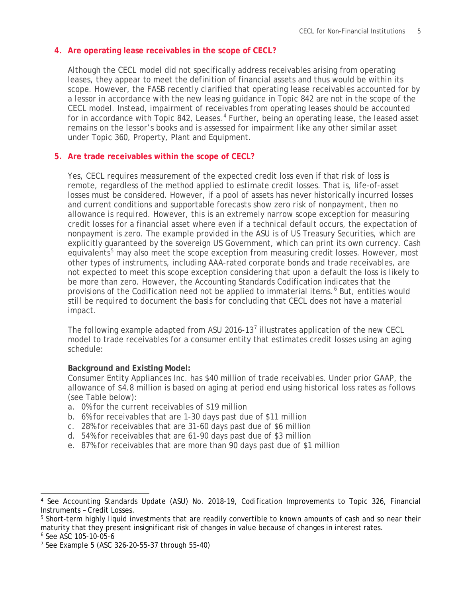# **4. Are operating lease receivables in the scope of CECL?**

Although the CECL model did not specifically address receivables arising from operating leases, they appear to meet the definition of financial assets and thus would be within its scope. However, the FASB recently clarified that operating lease receivables accounted for by a lessor in accordance with the new leasing guidance in Topic 842 are not in the scope of the CECL model. Instead, impairment of receivables from operating leases should be accounted for in accordance with Topic 8[4](#page-4-0)2, Leases.<sup>4</sup> Further, being an operating lease, the leased asset remains on the lessor's books and is assessed for impairment like any other similar asset under Topic 360, Property, Plant and Equipment.

#### **5. Are trade receivables within the scope of CECL?**

Yes, CECL requires measurement of the expected credit loss even if that risk of loss is remote, regardless of the method applied to estimate credit losses. That is, life-of-asset losses must be considered. However, if a pool of assets has never historically incurred losses and current conditions and supportable forecasts show zero risk of nonpayment, then no allowance is required. However, this is an extremely narrow scope exception for measuring credit losses for a financial asset where even if a technical default occurs, the expectation of nonpayment is zero. The example provided in the ASU is of US Treasury Securities, which are explicitly guaranteed by the sovereign US Government, which can print its own currency. Cash equivalents<sup>[5](#page-4-1)</sup> may also meet the scope exception from measuring credit losses. However, most other types of instruments, including AAA-rated corporate bonds and trade receivables, are not expected to meet this scope exception considering that upon a default the loss is likely to be more than zero. However, the Accounting Standards Codification indicates that the provisions of the Codification need not be applied to immaterial items.<sup>[6](#page-4-2)</sup> But, entities would still be required to document the basis for concluding that CECL does not have a material impact.

The following example adapted from ASU 2016-13<sup>[7](#page-4-3)</sup> illustrates application of the new CECL model to trade receivables for a consumer entity that estimates credit losses using an aging schedule:

#### **Background and Existing Model:**

Consumer Entity Appliances Inc. has \$40 million of trade receivables. Under prior GAAP, the allowance of \$4.8 million is based on aging at period end using historical loss rates as follows (see Table below):

- a. 0% for the current receivables of \$19 million
- b. 6% for receivables that are 1-30 days past due of \$11 million
- c. 28% for receivables that are 31-60 days past due of \$6 million
- d. 54% for receivables that are 61-90 days past due of \$3 million
- e. 87% for receivables that are more than 90 days past due of \$1 million

 $\overline{\phantom{a}}$ 

<span id="page-4-0"></span>See Accounting Standards Update (ASU) No. 2018-19, Codification Improvements to Topic 326, Financial Instruments – Credit Losses.

<span id="page-4-1"></span><sup>&</sup>lt;sup>5</sup> Short-term highly liquid investments that are readily convertible to known amounts of cash and so near their maturity that they present insignificant risk of changes in value because of changes in interest rates. <sup>6</sup> See ASC 105-10-05-6

<span id="page-4-3"></span><span id="page-4-2"></span><sup>7</sup> See Example 5 (ASC 326-20-55-37 through 55-40)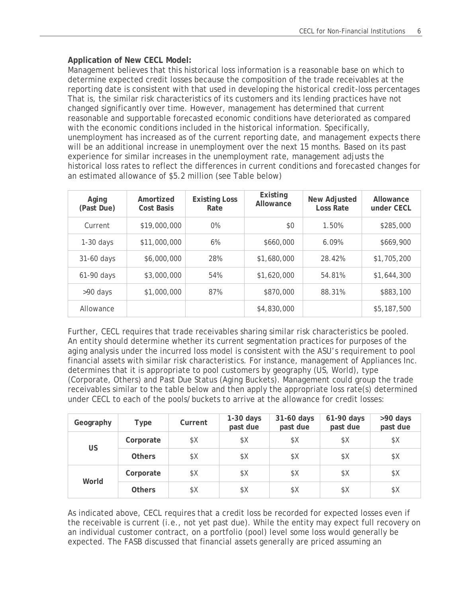# **Application of New CECL Model:**

Management believes that this historical loss information is a reasonable base on which to determine expected credit losses because the composition of the trade receivables at the reporting date is consistent with that used in developing the historical credit-loss percentages That is, the similar risk characteristics of its customers and its lending practices have not changed significantly over time. However, management has determined that current reasonable and supportable forecasted economic conditions have deteriorated as compared with the economic conditions included in the historical information. Specifically, unemployment has increased as of the current reporting date, and management expects there will be an additional increase in unemployment over the next 15 months. Based on its past experience for similar increases in the unemployment rate, management adjusts the historical loss rates to reflect the differences in current conditions and forecasted changes for an estimated allowance of \$5.2 million (see Table below)

| Aging<br>(Past Due) | Amortized<br><b>Cost Basis</b> | <b>Existing Loss</b><br>Rate | Existing<br>Allowance | New Adjusted<br>Loss Rate | Allowance<br>under CECL |
|---------------------|--------------------------------|------------------------------|-----------------------|---------------------------|-------------------------|
| Current             | \$19,000,000                   | $0\%$                        | \$0                   | 1.50%                     | \$285,000               |
| $1-30$ days         | \$11,000,000                   | 6%                           | \$660,000             | 6.09%                     | \$669,900               |
| 31-60 days          | \$6,000,000                    | 28%                          | \$1,680,000           | 28.42%                    | \$1,705,200             |
| 61-90 days          | \$3,000,000                    | 54%                          | \$1,620,000           | 54.81%                    | \$1,644,300             |
| >90 days            | \$1,000,000                    | 87%                          | \$870,000             | 88.31%                    | \$883,100               |
| Allowance           |                                |                              | \$4,830,000           |                           | \$5,187,500             |

Further, CECL requires that trade receivables sharing similar risk characteristics be pooled. An entity should determine whether its current segmentation practices for purposes of the aging analysis under the incurred loss model is consistent with the ASU's requirement to pool financial assets with similar risk characteristics. For instance, management of Appliances Inc. determines that it is appropriate to pool customers by geography (US, World), type (Corporate, Others) and Past Due Status (Aging Buckets). Management could group the trade receivables similar to the table below and then apply the appropriate loss rate(s) determined under CECL to each of the pools/buckets to arrive at the allowance for credit losses:

| Geography | Type          | Current | $1-30$ days<br>past due | 31-60 days<br>past due | 61-90 days<br>past due | >90 days<br>past due |
|-----------|---------------|---------|-------------------------|------------------------|------------------------|----------------------|
|           | Corporate     | \$Χ     | \$Χ                     | \$Χ                    | \$Χ                    | \$Χ                  |
| <b>US</b> | <b>Others</b> | \$X     | \$Χ                     | \$Χ                    | \$Χ                    | \$Χ                  |
| World     | Corporate     | \$X     | \$Χ                     | \$Χ                    | \$X                    | \$Χ                  |
|           | <b>Others</b> | \$X     | \$Χ                     | \$Χ                    | \$X                    | \$Χ                  |

As indicated above, CECL requires that a credit loss be recorded for expected losses even if the receivable is current (i.e., not yet past due). While the entity may expect full recovery on an individual customer contract, on a portfolio (pool) level some loss would generally be expected. The FASB discussed that financial assets generally are priced assuming an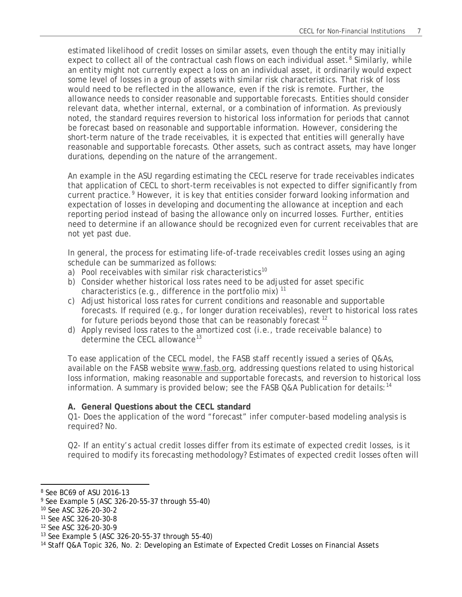estimated likelihood of credit losses on similar assets, even though the entity may initially expect to collect all of the contractual cash flows on each individual asset.<sup>[8](#page-6-0)</sup> Similarly, while an entity might not currently expect a loss on an individual asset, it ordinarily would expect some level of losses in a group of assets with similar risk characteristics. That risk of loss would need to be reflected in the allowance, even if the risk is remote. Further, the allowance needs to consider reasonable and supportable forecasts. Entities should consider relevant data, whether internal, external, or a combination of information. As previously noted, the standard requires reversion to historical loss information for periods that cannot be forecast based on reasonable and supportable information. However, considering the short-term nature of the trade receivables, it is expected that entities will generally have reasonable and supportable forecasts. Other assets, such as contract assets, may have longer durations, depending on the nature of the arrangement.

An example in the ASU regarding estimating the CECL reserve for trade receivables indicates that application of CECL to short-term receivables is not expected to differ significantly from current practice.<sup>[9](#page-6-1)</sup> However, it is key that entities consider forward looking information and expectation of losses in developing and documenting the allowance at inception and each reporting period instead of basing the allowance only on incurred losses. Further, entities need to determine if an allowance should be recognized even for current receivables that are not yet past due.

In general, the process for estimating life-of-trade receivables credit losses using an aging schedule can be summarized as follows:

- a) Pool receivables with similar risk characteristics<sup>[10](#page-6-2)</sup>
- b) Consider whether historical loss rates need to be adjusted for asset specific characteristics (e.g., difference in the portfolio mix)  $11$
- c) Adjust historical loss rates for current conditions and reasonable and supportable forecasts. If required (e.g., for longer duration receivables), revert to historical loss rates for future periods beyond those that can be reasonably forecast<sup>[12](#page-6-4)</sup>
- d) Apply revised loss rates to the amortized cost (i.e., trade receivable balance) to determine the CECL allowance<sup>[13](#page-6-5)</sup>

To ease application of the CECL model, the FASB staff recently issued a series of Q&As, available on the FASB website [www.fasb.org,](https://www.fasb.org/cs/Satellite?c=FASBContent_C&cid=1176172971977&pagename=FASB%2FFASBContent_C%2FGeneralContentDisplay) addressing questions related to using historical loss information, making reasonable and supportable forecasts, and reversion to historical loss information. A summary is provided below; see the FASB Q&A Publication for details:  $14$ 

# **A. General Questions about the CECL standard**

Q1- Does the application of the word "forecast" infer computer-based modeling analysis is required? No.

Q2- If an entity's actual credit losses differ from its estimate of expected credit losses, is it required to modify its forecasting methodology? Estimates of expected credit losses often will

 $\overline{\phantom{a}}$ 

<span id="page-6-4"></span><sup>12</sup> See ASC 326-20-30-9

<span id="page-6-0"></span><sup>8</sup> See BC69 of ASU 2016-13

<span id="page-6-1"></span><sup>9</sup> See Example 5 (ASC 326-20-55-37 through 55-40)

<span id="page-6-2"></span><sup>10</sup> See ASC 326-20-30-2

<span id="page-6-3"></span><sup>11</sup> See ASC 326-20-30-8

<span id="page-6-5"></span><sup>13</sup> See Example 5 (ASC 326-20-55-37 through 55-40)

<span id="page-6-6"></span><sup>14</sup> Staff Q&A Topic 326, No. 2: Developing an Estimate of Expected Credit Losses on Financial Assets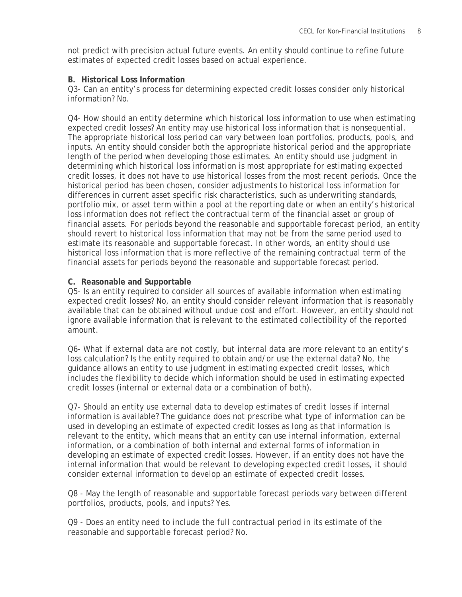not predict with precision actual future events. An entity should continue to refine future estimates of expected credit losses based on actual experience.

#### **B. Historical Loss Information**

Q3- Can an entity's process for determining expected credit losses consider only historical information? No.

Q4- How should an entity determine which historical loss information to use when estimating expected credit losses? An entity may use historical loss information that is nonsequential. The appropriate historical loss period can vary between loan portfolios, products, pools, and inputs. An entity should consider both the appropriate historical period and the appropriate length of the period when developing those estimates. An entity should use judgment in determining which historical loss information is most appropriate for estimating expected credit losses, it does not have to use historical losses from the most recent periods. Once the historical period has been chosen, consider adjustments to historical loss information for differences in current asset specific risk characteristics, such as underwriting standards, portfolio mix, or asset term within a pool at the reporting date or when an entity's historical loss information does not reflect the contractual term of the financial asset or group of financial assets. For periods beyond the reasonable and supportable forecast period, an entity should revert to historical loss information that may not be from the same period used to estimate its reasonable and supportable forecast. In other words, an entity should use historical loss information that is more reflective of the remaining contractual term of the financial assets for periods beyond the reasonable and supportable forecast period.

# **C. Reasonable and Supportable**

Q5- Is an entity required to consider all sources of available information when estimating expected credit losses? No, an entity should consider relevant information that is reasonably available that can be obtained without undue cost and effort. However, an entity should not ignore available information that is relevant to the estimated collectibility of the reported amount.

Q6- What if external data are not costly, but internal data are more relevant to an entity's loss calculation? Is the entity required to obtain and/or use the external data? No, the guidance allows an entity to use judgment in estimating expected credit losses, which includes the flexibility to decide which information should be used in estimating expected credit losses (internal or external data or a combination of both).

Q7- Should an entity use external data to develop estimates of credit losses if internal information is available? The guidance does not prescribe what type of information can be used in developing an estimate of expected credit losses as long as that information is relevant to the entity, which means that an entity can use internal information, external information, or a combination of both internal and external forms of information in developing an estimate of expected credit losses. However, if an entity does not have the internal information that would be relevant to developing expected credit losses, it should consider external information to develop an estimate of expected credit losses.

Q8 - May the length of reasonable and supportable forecast periods vary between different portfolios, products, pools, and inputs? Yes.

Q9 - Does an entity need to include the full contractual period in its estimate of the reasonable and supportable forecast period? No.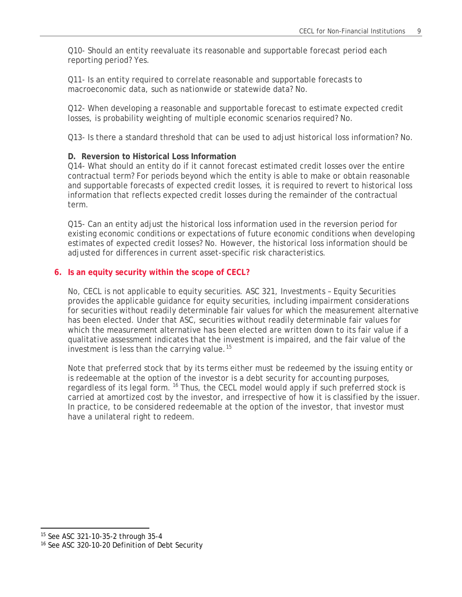Q10- Should an entity reevaluate its reasonable and supportable forecast period each reporting period? Yes.

Q11- Is an entity required to correlate reasonable and supportable forecasts to macroeconomic data, such as nationwide or statewide data? No.

Q12- When developing a reasonable and supportable forecast to estimate expected credit losses, is probability weighting of multiple economic scenarios required? No.

Q13- Is there a standard threshold that can be used to adjust historical loss information? No.

# **D. Reversion to Historical Loss Information**

Q14- What should an entity do if it cannot forecast estimated credit losses over the entire contractual term? For periods beyond which the entity is able to make or obtain reasonable and supportable forecasts of expected credit losses, it is required to revert to historical loss information that reflects expected credit losses during the remainder of the contractual term.

Q15- Can an entity adjust the historical loss information used in the reversion period for existing economic conditions or expectations of future economic conditions when developing estimates of expected credit losses? No. However, the historical loss information should be adjusted for differences in current asset-specific risk characteristics.

# **6. Is an equity security within the scope of CECL?**

No, CECL is not applicable to equity securities. ASC 321, Investments – Equity Securities provides the applicable guidance for equity securities, including impairment considerations for securities without readily determinable fair values for which the measurement alternative has been elected. Under that ASC, securities without readily determinable fair values for which the measurement alternative has been elected are written down to its fair value if a qualitative assessment indicates that the investment is impaired, and the fair value of the investment is less than the carrying value.<sup>[15](#page-8-0)</sup>

Note that preferred stock that by its terms either must be redeemed by the issuing entity or is redeemable at the option of the investor is a debt security for accounting purposes, regardless of its legal form.<sup>[16](#page-8-1)</sup> Thus, the CECL model would apply if such preferred stock is carried at amortized cost by the investor, and irrespective of how it is classified by the issuer. In practice, to be considered redeemable at the option of the investor, that investor must have a unilateral right to redeem.

l

<span id="page-8-0"></span><sup>15</sup> See ASC 321-10-35-2 through 35-4

<span id="page-8-1"></span><sup>16</sup> See ASC 320-10-20 Definition of Debt Security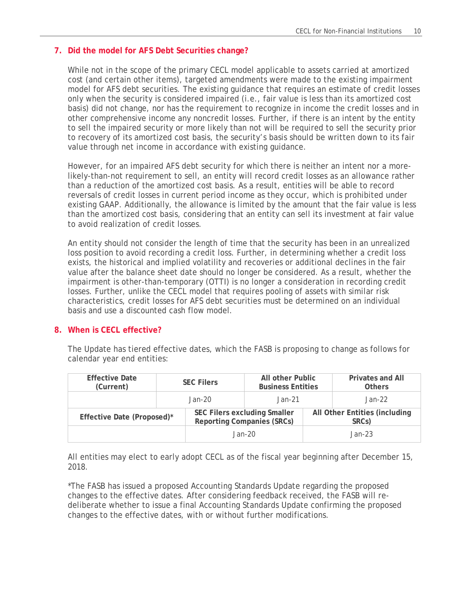# **7. Did the model for AFS Debt Securities change?**

While not in the scope of the primary CECL model applicable to assets carried at amortized cost (and certain other items), targeted amendments were made to the existing impairment model for AFS debt securities. The existing guidance that requires an estimate of credit losses only when the security is considered impaired (i.e., fair value is less than its amortized cost basis) did not change, nor has the requirement to recognize in income the credit losses and in other comprehensive income any noncredit losses. Further, if there is an intent by the entity to sell the impaired security or more likely than not will be required to sell the security prior to recovery of its amortized cost basis, the security's basis should be written down to its fair value through net income in accordance with existing guidance.

However, for an impaired AFS debt security for which there is neither an intent nor a morelikely-than-not requirement to sell, an entity will record credit losses as an allowance rather than a reduction of the amortized cost basis. As a result, entities will be able to record reversals of credit losses in current period income as they occur, which is prohibited under existing GAAP. Additionally, the allowance is limited by the amount that the fair value is less than the amortized cost basis, considering that an entity can sell its investment at fair value to avoid realization of credit losses.

An entity should not consider the length of time that the security has been in an unrealized loss position to avoid recording a credit loss. Further, in determining whether a credit loss exists, the historical and implied volatility and recoveries or additional declines in the fair value after the balance sheet date should no longer be considered. As a result, whether the impairment is other-than-temporary (OTTI) is no longer a consideration in recording credit losses. Further, unlike the CECL model that requires pooling of assets with similar risk characteristics, credit losses for AFS debt securities must be determined on an individual basis and use a discounted cash flow model.

# **8. When is CECL effective?**

The Update has tiered effective dates, which the FASB is proposing to change as follows for calendar year end entities:

| <b>Effective Date</b><br>(Current) | <b>SEC Filers</b> |          | All other Public<br><b>Business Entities</b>                      |  | <b>Privates and All</b><br><b>Others</b>            |  |
|------------------------------------|-------------------|----------|-------------------------------------------------------------------|--|-----------------------------------------------------|--|
|                                    |                   | $Jan-20$ | $Jan-21$                                                          |  | $Jan-22$                                            |  |
| Effective Date (Proposed)*         |                   |          | SEC Filers excluding Smaller<br><b>Reporting Companies (SRCs)</b> |  | All Other Entities (including<br>SRC <sub>s</sub> ) |  |
|                                    |                   | $Jan-20$ |                                                                   |  | $Jan-23$                                            |  |

All entities may elect to early adopt CECL as of the fiscal year beginning after December 15, 2018.

\*The FASB has issued a proposed Accounting Standards Update regarding the proposed changes to the effective dates. After considering feedback received, the FASB will redeliberate whether to issue a final Accounting Standards Update confirming the proposed changes to the effective dates, with or without further modifications.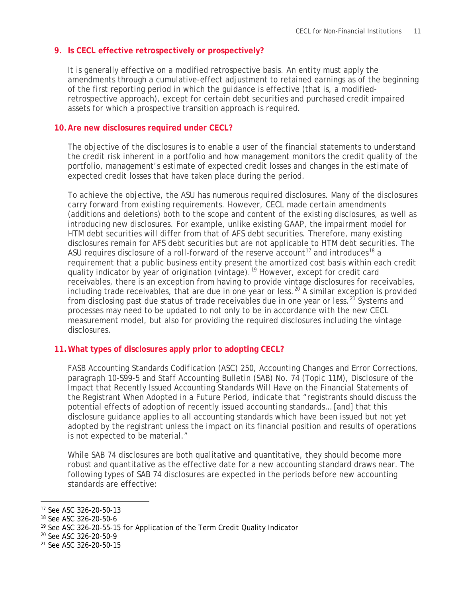# **9. Is CECL effective retrospectively or prospectively?**

It is generally effective on a modified retrospective basis. An entity must apply the amendments through a cumulative-effect adjustment to retained earnings as of the beginning of the first reporting period in which the guidance is effective (that is, a modifiedretrospective approach), except for certain debt securities and purchased credit impaired assets for which a prospective transition approach is required.

## **10.Are new disclosures required under CECL?**

The objective of the disclosures is to enable a user of the financial statements to understand the credit risk inherent in a portfolio and how management monitors the credit quality of the portfolio, management's estimate of expected credit losses and changes in the estimate of expected credit losses that have taken place during the period.

To achieve the objective, the ASU has numerous required disclosures. Many of the disclosures carry forward from existing requirements. However, CECL made certain amendments (additions and deletions) both to the scope and content of the existing disclosures, as well as introducing new disclosures. For example, unlike existing GAAP, the impairment model for HTM debt securities will differ from that of AFS debt securities. Therefore, many existing disclosures remain for AFS debt securities but are not applicable to HTM debt securities. The ASU requires disclosure of a roll-forward of the reserve account<sup>[17](#page-10-0)</sup> and introduces<sup>[18](#page-10-1)</sup> a requirement that a public business entity present the amortized cost basis within each credit quality indicator by year of origination (vintage).<sup>[19](#page-10-2)</sup> However, except for credit card receivables, there is an exception from having to provide vintage disclosures for receivables, including trade receivables, that are due in one year or less.<sup>[20](#page-10-3)</sup> A similar exception is provided from disclosing past due status of trade receivables due in one year or less.<sup>[21](#page-10-4)</sup> Systems and processes may need to be updated to not only to be in accordance with the new CECL measurement model, but also for providing the required disclosures including the vintage disclosures.

# **11.What types of disclosures apply prior to adopting CECL?**

FASB Accounting Standards Codification (ASC) 250, Accounting Changes and Error Corrections, paragraph 10-S99-5 and Staff Accounting Bulletin (SAB) No. 74 (Topic 11M), Disclosure of the Impact that Recently Issued Accounting Standards Will Have on the Financial Statements of the Registrant When Adopted in a Future Period, indicate that "registrants should discuss the potential effects of adoption of recently issued accounting standards… [and] that this disclosure guidance applies to all accounting standards which have been issued but not yet adopted by the registrant unless the impact on its financial position and results of operations is not expected to be material."

While SAB 74 disclosures are both qualitative and quantitative, they should become more robust and quantitative as the effective date for a new accounting standard draws near. The following types of SAB 74 disclosures are expected in the periods before new accounting standards are effective:

<span id="page-10-0"></span>l <sup>17</sup> See ASC 326-20-50-13

<span id="page-10-1"></span><sup>18</sup> See ASC 326-20-50-6

<span id="page-10-2"></span><sup>&</sup>lt;sup>19</sup> See ASC 326-20-55-15 for Application of the Term Credit Quality Indicator

<span id="page-10-3"></span><sup>20</sup> See ASC 326-20-50-9

<span id="page-10-4"></span><sup>21</sup> See ASC 326-20-50-15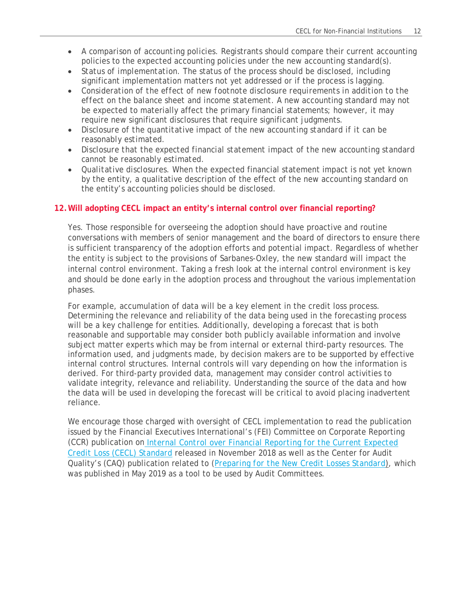- *A comparison of accounting policies*. Registrants should compare their current accounting policies to the expected accounting policies under the new accounting standard(s).
- *Status of implementation*. The status of the process should be disclosed, including significant implementation matters not yet addressed or if the process is lagging.
- *Consideration of the effect of new footnote disclosure requirements in addition to the effect on the balance sheet and income statement*. A new accounting standard may not be expected to materially affect the primary financial statements; however, it may require new significant disclosures that require significant judgments.
- *Disclosure of the quantitative impact of the new accounting standard if it can be reasonably estimated*.
- *Disclosure that the expected financial statement impact of the new accounting standard cannot be reasonably estimated*.
- *Qualitative disclosures*. When the expected financial statement impact is not yet known by the entity, a qualitative description of the effect of the new accounting standard on the entity's accounting policies should be disclosed.

# **12.Will adopting CECL impact an entity's internal control over financial reporting?**

Yes. Those responsible for overseeing the adoption should have proactive and routine conversations with members of senior management and the board of directors to ensure there is sufficient transparency of the adoption efforts and potential impact. Regardless of whether the entity is subject to the provisions of Sarbanes-Oxley, the new standard will impact the internal control environment. Taking a fresh look at the internal control environment is key and should be done early in the adoption process and throughout the various implementation phases.

For example, accumulation of data will be a key element in the credit loss process. Determining the relevance and reliability of the data being used in the forecasting process will be a key challenge for entities. Additionally, developing a forecast that is both reasonable and supportable may consider both publicly available information and involve subject matter experts which may be from internal or external third-party resources. The information used, and judgments made, by decision makers are to be supported by effective internal control structures. Internal controls will vary depending on how the information is derived. For third-party provided data, management may consider control activities to validate integrity, relevance and reliability. Understanding the source of the data and how the data will be used in developing the forecast will be critical to avoid placing inadvertent reliance.

We encourage those charged with oversight of CECL implementation to read the publication issued by the Financial Executives International's (FEI) Committee on Corporate Reporting (CCR) publication on *[Internal Control over Financial Reporting for the Current Expected](https://www.financialexecutives.org/Site-Wide/Files/2018/Committee/CCR/IFCR-Insights-CECL.aspx)  [Credit Loss \(CECL\) Standard](https://www.financialexecutives.org/Site-Wide/Files/2018/Committee/CCR/IFCR-Insights-CECL.aspx)* released in November 2018 as well as the Center for Audit Quality's (CAQ) publication related to (*[Preparing for the New Credit Losses Standard](https://www.thecaq.org/preparing-for-the-new-credit-losses-standard-a-tool-for-audit-committees/)*), which was published in May 2019 as a tool to be used by Audit Committees.